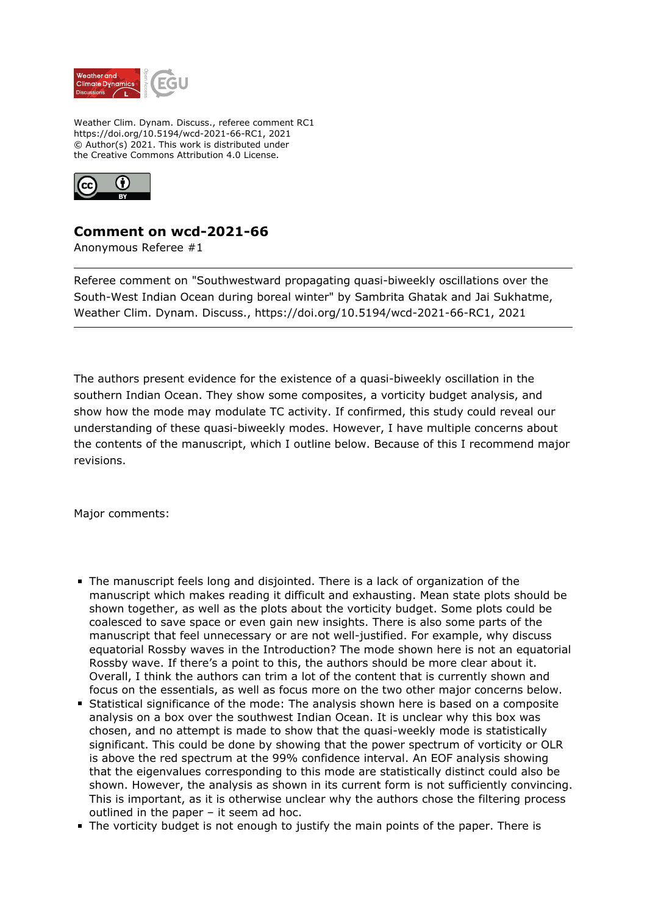

Weather Clim. Dynam. Discuss., referee comment RC1 https://doi.org/10.5194/wcd-2021-66-RC1, 2021 © Author(s) 2021. This work is distributed under the Creative Commons Attribution 4.0 License.



## **Comment on wcd-2021-66**

Anonymous Referee #1

Referee comment on "Southwestward propagating quasi-biweekly oscillations over the South-West Indian Ocean during boreal winter" by Sambrita Ghatak and Jai Sukhatme, Weather Clim. Dynam. Discuss., https://doi.org/10.5194/wcd-2021-66-RC1, 2021

The authors present evidence for the existence of a quasi-biweekly oscillation in the southern Indian Ocean. They show some composites, a vorticity budget analysis, and show how the mode may modulate TC activity. If confirmed, this study could reveal our understanding of these quasi-biweekly modes. However, I have multiple concerns about the contents of the manuscript, which I outline below. Because of this I recommend major revisions.

Major comments:

- The manuscript feels long and disjointed. There is a lack of organization of the manuscript which makes reading it difficult and exhausting. Mean state plots should be shown together, as well as the plots about the vorticity budget. Some plots could be coalesced to save space or even gain new insights. There is also some parts of the manuscript that feel unnecessary or are not well-justified. For example, why discuss equatorial Rossby waves in the Introduction? The mode shown here is not an equatorial Rossby wave. If there's a point to this, the authors should be more clear about it. Overall, I think the authors can trim a lot of the content that is currently shown and focus on the essentials, as well as focus more on the two other major concerns below.
- Statistical significance of the mode: The analysis shown here is based on a composite analysis on a box over the southwest Indian Ocean. It is unclear why this box was chosen, and no attempt is made to show that the quasi-weekly mode is statistically significant. This could be done by showing that the power spectrum of vorticity or OLR is above the red spectrum at the 99% confidence interval. An EOF analysis showing that the eigenvalues corresponding to this mode are statistically distinct could also be shown. However, the analysis as shown in its current form is not sufficiently convincing. This is important, as it is otherwise unclear why the authors chose the filtering process outlined in the paper – it seem ad hoc.
- The vorticity budget is not enough to justify the main points of the paper. There is